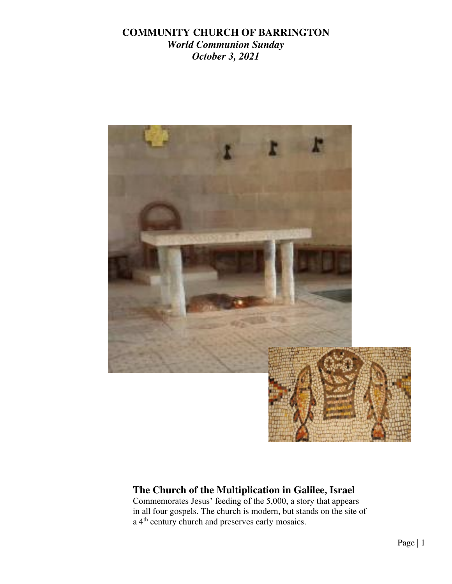# **COMMUNITY CHURCH OF BARRINGTON**  *World Communion Sunday October 3, 2021*



# **The Church of the Multiplication in Galilee, Israel**

Commemorates Jesus' feeding of the 5,000, a story that appears in all four gospels. The church is modern, but stands on the site of a 4th century church and preserves early mosaics.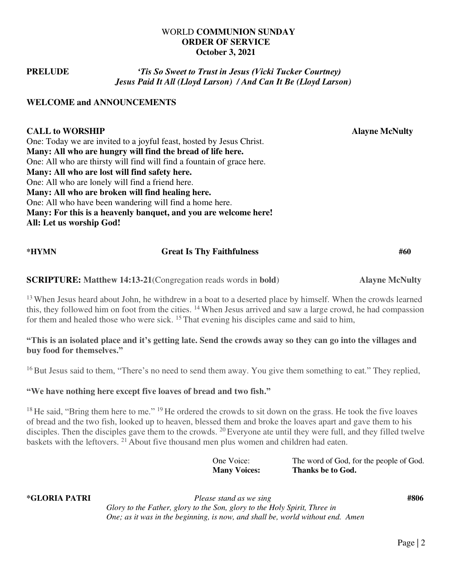#### WORLD **COMMUNION SUNDAY ORDER OF SERVICE October 3, 2021**

#### **PRELUDE** *'Tis So Sweet to Trust in Jesus (Vicki Tucker Courtney) Jesus Paid It All (Lloyd Larson) / And Can It Be (Lloyd Larson)*

## **WELCOME and ANNOUNCEMENTS**

## **CALL to WORSHIP Alayne McNulty Alayne McNulty**

One: Today we are invited to a joyful feast, hosted by Jesus Christ. **Many: All who are hungry will find the bread of life here.** One: All who are thirsty will find will find a fountain of grace here. **Many: All who are lost will find safety here.** One: All who are lonely will find a friend here. **Many: All who are broken will find healing here.** One: All who have been wandering will find a home here. **Many: For this is a heavenly banquet, and you are welcome here! All: Let us worship God!** 

#### **\*HYMN Great Is Thy Faithfulness #60**

**SCRIPTURE:** Matthew 14:13-21(Congregation reads words in **bold**) Alayne McNulty

<sup>13</sup> When Jesus heard about John, he withdrew in a boat to a deserted place by himself. When the crowds learned this, they followed him on foot from the cities. <sup>14</sup>When Jesus arrived and saw a large crowd, he had compassion for them and healed those who were sick. <sup>15</sup> That evening his disciples came and said to him,

**"This is an isolated place and it's getting late. Send the crowds away so they can go into the villages and buy food for themselves."**

<sup>16</sup> But Jesus said to them, "There's no need to send them away. You give them something to eat." They replied,

#### **"We have nothing here except five loaves of bread and two fish."**

<sup>18</sup> He said, "Bring them here to me." <sup>19</sup> He ordered the crowds to sit down on the grass. He took the five loaves of bread and the two fish, looked up to heaven, blessed them and broke the loaves apart and gave them to his disciples. Then the disciples gave them to the crowds.  $^{20}$  Everyone ate until they were full, and they filled twelve baskets with the leftovers. <sup>21</sup> About five thousand men plus women and children had eaten.

> One Voice: The word of God, for the people of God. **Many Voices: Thanks be to God.**

**\*GLORIA PATRI** *Please stand as we sing* **#806** *Glory to the Father, glory to the Son, glory to the Holy Spirit, Three in One; as it was in the beginning, is now, and shall be, world without end. Amen* 

Page | 2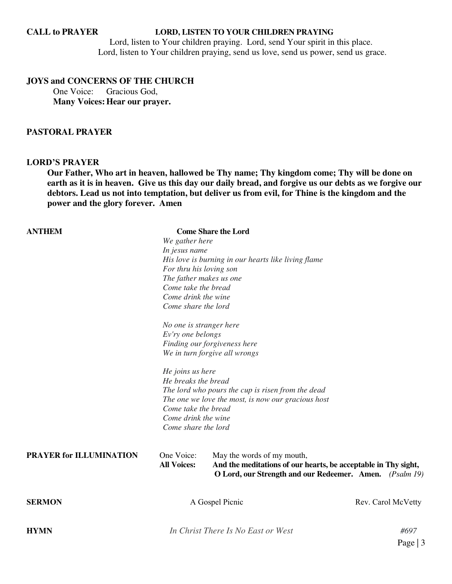#### **CALL to PRAYER LORD, LISTEN TO YOUR CHILDREN PRAYING**

 Lord, listen to Your children praying. Lord, send Your spirit in this place. Lord, listen to Your children praying, send us love, send us power, send us grace.

#### **JOYS and CONCERNS OF THE CHURCH**

One Voice: Gracious God, **Many Voices: Hear our prayer.** 

#### **PASTORAL PRAYER**

#### **LORD'S PRAYER**

**Our Father, Who art in heaven, hallowed be Thy name; Thy kingdom come; Thy will be done on earth as it is in heaven. Give us this day our daily bread, and forgive us our debts as we forgive our debtors. Lead us not into temptation, but deliver us from evil, for Thine is the kingdom and the power and the glory forever. Amen** 

| <b>ANTHEM</b>                  | <b>Come Share the Lord</b><br>We gather here<br>In jesus name<br>His love is burning in our hearts like living flame<br>For thru his loving son<br>The father makes us one<br>Come take the bread<br>Come drink the wine<br>Come share the lord<br>No one is stranger here<br>Ev'ry one belongs<br>Finding our forgiveness here |                                                                                                                                                                         |                    |
|--------------------------------|---------------------------------------------------------------------------------------------------------------------------------------------------------------------------------------------------------------------------------------------------------------------------------------------------------------------------------|-------------------------------------------------------------------------------------------------------------------------------------------------------------------------|--------------------|
|                                | We in turn forgive all wrongs<br>He joins us here<br>He breaks the bread<br>The lord who pours the cup is risen from the dead<br>The one we love the most, is now our gracious host<br>Come take the bread<br>Come drink the wine<br>Come share the lord                                                                        |                                                                                                                                                                         |                    |
| <b>PRAYER for ILLUMINATION</b> | One Voice:<br><b>All Voices:</b>                                                                                                                                                                                                                                                                                                | May the words of my mouth,<br>And the meditations of our hearts, be acceptable in Thy sight,<br><b>O Lord, our Strength and our Redeemer.</b> Amen. ( <i>Psalm 19</i> ) |                    |
| <b>SERMON</b>                  |                                                                                                                                                                                                                                                                                                                                 | A Gospel Picnic                                                                                                                                                         | Rev. Carol McVetty |
| <b>HYMN</b>                    |                                                                                                                                                                                                                                                                                                                                 | In Christ There Is No East or West                                                                                                                                      | #697<br>Page $ 3$  |